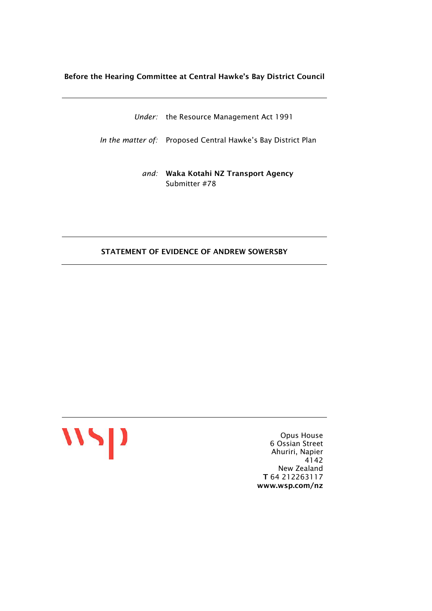#### Before the Hearing Committee at Central Hawke's Bay District Council

*Under:* the Resource Management Act 1991

*In the matter of:* Proposed Central Hawke's Bay District Plan

*and:* Waka Kotahi NZ Transport Agency Submitter #78

#### STATEMENT OF EVIDENCE OF ANDREW SOWERSBY



Opus House 6 Ossian Street Ahuriri, Napier 4142 New Zealand T 64 212263117 www.wsp.com/nz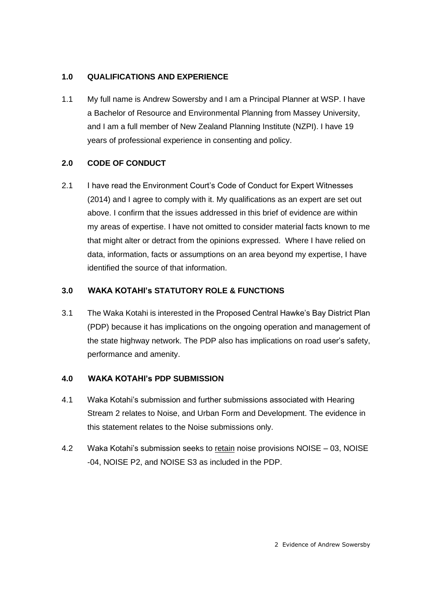## **1.0 QUALIFICATIONS AND EXPERIENCE**

1.1 My full name is Andrew Sowersby and I am a Principal Planner at WSP. I have a Bachelor of Resource and Environmental Planning from Massey University, and I am a full member of New Zealand Planning Institute (NZPI). I have 19 years of professional experience in consenting and policy.

# **2.0 CODE OF CONDUCT**

2.1 I have read the Environment Court's Code of Conduct for Expert Witnesses (2014) and I agree to comply with it. My qualifications as an expert are set out above. I confirm that the issues addressed in this brief of evidence are within my areas of expertise. I have not omitted to consider material facts known to me that might alter or detract from the opinions expressed. Where I have relied on data, information, facts or assumptions on an area beyond my expertise, I have identified the source of that information.

# **3.0 WAKA KOTAHI's STATUTORY ROLE & FUNCTIONS**

3.1 The Waka Kotahi is interested in the Proposed Central Hawke's Bay District Plan (PDP) because it has implications on the ongoing operation and management of the state highway network. The PDP also has implications on road user's safety, performance and amenity.

## **4.0 WAKA KOTAHI's PDP SUBMISSION**

- 4.1 Waka Kotahi's submission and further submissions associated with Hearing Stream 2 relates to Noise, and Urban Form and Development. The evidence in this statement relates to the Noise submissions only.
- 4.2 Waka Kotahi's submission seeks to retain noise provisions NOISE 03, NOISE -04, NOISE P2, and NOISE S3 as included in the PDP.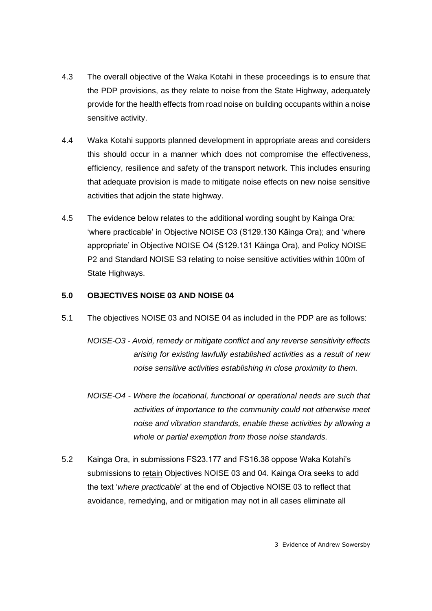- 4.3 The overall objective of the Waka Kotahi in these proceedings is to ensure that the PDP provisions, as they relate to noise from the State Highway, adequately provide for the health effects from road noise on building occupants within a noise sensitive activity.
- 4.4 Waka Kotahi supports planned development in appropriate areas and considers this should occur in a manner which does not compromise the effectiveness, efficiency, resilience and safety of the transport network. This includes ensuring that adequate provision is made to mitigate noise effects on new noise sensitive activities that adjoin the state highway.
- 4.5 The evidence below relates to the additional wording sought by Kainga Ora: 'where practicable' in Objective NOISE O3 (S129.130 Kāinga Ora); and 'where appropriate' in Objective NOISE O4 (S129.131 Kāinga Ora), and Policy NOISE P2 and Standard NOISE S3 relating to noise sensitive activities within 100m of State Highways.

### **5.0 OBJECTIVES NOISE 03 AND NOISE 04**

- 5.1 The objectives NOISE 03 and NOISE 04 as included in the PDP are as follows:
	- *NOISE-O3 - Avoid, remedy or mitigate conflict and any reverse sensitivity effects arising for existing lawfully established activities as a result of new noise sensitive activities establishing in close proximity to them.*
	- *NOISE-O4 - Where the locational, functional or operational needs are such that activities of importance to the community could not otherwise meet noise and vibration standards, enable these activities by allowing a whole or partial exemption from those noise standards.*
- 5.2 Kainga Ora, in submissions FS23.177 and FS16.38 oppose Waka Kotahi's submissions to retain Objectives NOISE 03 and 04. Kainga Ora seeks to add the text '*where practicable*' at the end of Objective NOISE 03 to reflect that avoidance, remedying, and or mitigation may not in all cases eliminate all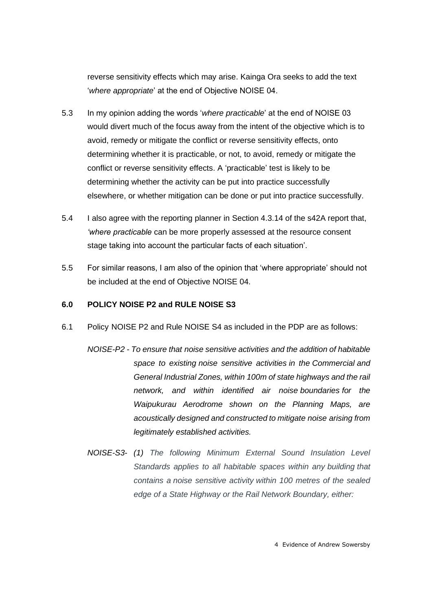reverse sensitivity effects which may arise. Kainga Ora seeks to add the text '*where appropriate*' at the end of Objective NOISE 04.

- 5.3 In my opinion adding the words '*where practicable*' at the end of NOISE 03 would divert much of the focus away from the intent of the objective which is to avoid, remedy or mitigate the conflict or reverse sensitivity effects, onto determining whether it is practicable, or not, to avoid, remedy or mitigate the conflict or reverse sensitivity effects. A 'practicable' test is likely to be determining whether the activity can be put into practice successfully elsewhere, or whether mitigation can be done or put into practice successfully.
- 5.4 I also agree with the reporting planner in Section 4.3.14 of the s42A report that, *'where practicable* can be more properly assessed at the resource consent stage taking into account the particular facts of each situation'.
- 5.5 For similar reasons, I am also of the opinion that 'where appropriate' should not be included at the end of Objective NOISE 04.

### **6.0 POLICY NOISE P2 and RULE NOISE S3**

- 6.1 Policy NOISE P2 and Rule NOISE S4 as included in the PDP are as follows:
	- *NOISE-P2 - To ensure that noise sensitive activities and the addition of habitable space to existing noise sensitive activities in the Commercial and General Industrial Zones, within 100m of state highways and the rail network, and within identified air noise boundaries for the Waipukurau Aerodrome shown on the Planning Maps, are acoustically designed and constructed to mitigate noise arising from legitimately established activities.*
	- *NOISE-S3- (1) The following Minimum External Sound Insulation Level Standards applies to all habitable spaces within any building that contains a noise sensitive activity within 100 metres of the sealed edge of a State Highway or the Rail Network Boundary, either:*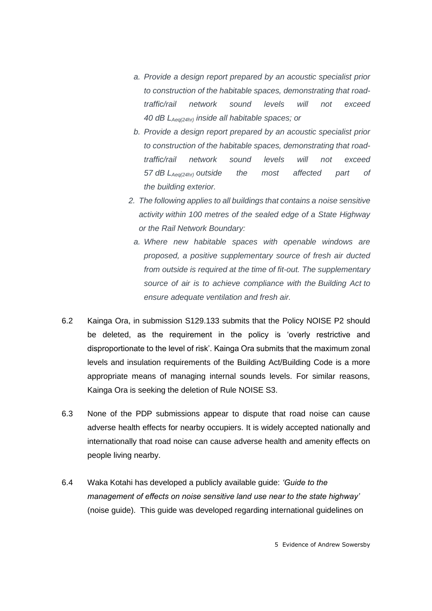- *a. Provide a design report prepared by an acoustic specialist prior to construction of the habitable spaces, demonstrating that roadtraffic/rail network sound levels will not exceed 40 dB LAeq(24hr) inside all habitable spaces; or*
- *b. Provide a design report prepared by an acoustic specialist prior to construction of the habitable spaces, demonstrating that roadtraffic/rail network sound levels will not exceed 57 dB LAeq(24hr) outside the most affected part of the building exterior.*
- *2. The following applies to all buildings that contains a noise sensitive activity within 100 metres of the sealed edge of a State Highway or the Rail Network Boundary:*
	- *a. Where new habitable spaces with openable windows are proposed, a positive supplementary source of fresh air ducted from outside is required at the time of fit-out. The supplementary source of air is to achieve compliance with the Building Act to ensure adequate ventilation and fresh air.*
- 6.2 Kainga Ora, in submission S129.133 submits that the Policy NOISE P2 should be deleted, as the requirement in the policy is 'overly restrictive and disproportionate to the level of risk'. Kainga Ora submits that the maximum zonal levels and insulation requirements of the Building Act/Building Code is a more appropriate means of managing internal sounds levels. For similar reasons, Kainga Ora is seeking the deletion of Rule NOISE S3.
- 6.3 None of the PDP submissions appear to dispute that road noise can cause adverse health effects for nearby occupiers. It is widely accepted nationally and internationally that road noise can cause adverse health and amenity effects on people living nearby.
- 6.4 Waka Kotahi has developed a publicly available guide: *'Guide to the management of effects on noise sensitive land use near to the state highway'* (noise guide). This guide was developed regarding international guidelines on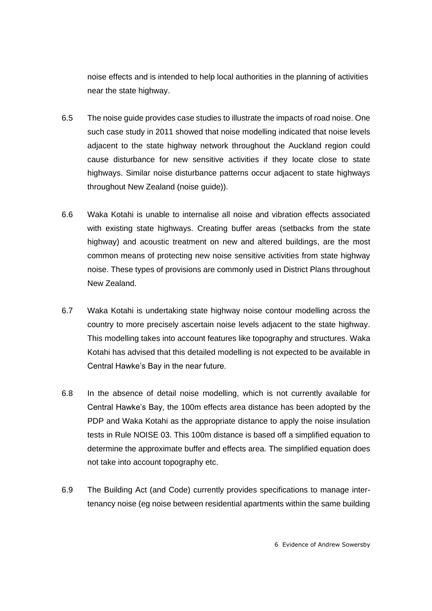noise effects and is intended to help local authorities in the planning of activities near the state highway.

- 6.5 The noise guide provides case studies to illustrate the impacts of road noise. One such case study in 2011 showed that noise modelling indicated that noise levels adjacent to the state highway network throughout the Auckland region could cause disturbance for new sensitive activities if they locate close to state highways. Similar noise disturbance patterns occur adjacent to state highways throughout New Zealand (noise guide)).
- 6.6 Waka Kotahi is unable to internalise all noise and vibration effects associated with existing state highways. Creating buffer areas (setbacks from the state highway) and acoustic treatment on new and altered buildings, are the most common means of protecting new noise sensitive activities from state highway noise. These types of provisions are commonly used in District Plans throughout New Zealand.
- 6.7 Waka Kotahi is undertaking state highway noise contour modelling across the country to more precisely ascertain noise levels adjacent to the state highway. This modelling takes into account features like topography and structures. Waka Kotahi has advised that this detailed modelling is not expected to be available in Central Hawke's Bay in the near future.
- 6.8 In the absence of detail noise modelling, which is not currently available for Central Hawke's Bay, the 100m effects area distance has been adopted by the PDP and Waka Kotahi as the appropriate distance to apply the noise insulation tests in Rule NOISE 03. This 100m distance is based off a simplified equation to determine the approximate buffer and effects area. The simplified equation does not take into account topography etc.
- 6.9 The Building Act (and Code) currently provides specifications to manage intertenancy noise (eg noise between residential apartments within the same building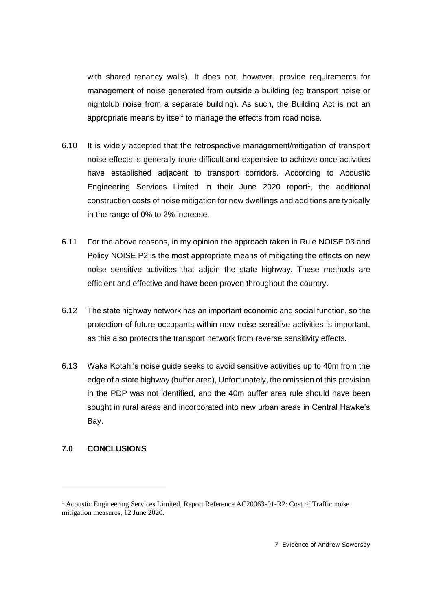with shared tenancy walls). It does not, however, provide requirements for management of noise generated from outside a building (eg transport noise or nightclub noise from a separate building). As such, the Building Act is not an appropriate means by itself to manage the effects from road noise.

- 6.10 It is widely accepted that the retrospective management/mitigation of transport noise effects is generally more difficult and expensive to achieve once activities have established adjacent to transport corridors. According to Acoustic Engineering Services Limited in their June 2020 report<sup>1</sup>, the additional construction costs of noise mitigation for new dwellings and additions are typically in the range of 0% to 2% increase.
- 6.11 For the above reasons, in my opinion the approach taken in Rule NOISE 03 and Policy NOISE P2 is the most appropriate means of mitigating the effects on new noise sensitive activities that adjoin the state highway. These methods are efficient and effective and have been proven throughout the country.
- 6.12 The state highway network has an important economic and social function, so the protection of future occupants within new noise sensitive activities is important, as this also protects the transport network from reverse sensitivity effects.
- 6.13 Waka Kotahi's noise guide seeks to avoid sensitive activities up to 40m from the edge of a state highway (buffer area), Unfortunately, the omission of this provision in the PDP was not identified, and the 40m buffer area rule should have been sought in rural areas and incorporated into new urban areas in Central Hawke's Bay.

### **7.0 CONCLUSIONS**

<sup>&</sup>lt;sup>1</sup> Acoustic Engineering Services Limited, Report Reference AC20063-01-R2: Cost of Traffic noise mitigation measures, 12 June 2020.